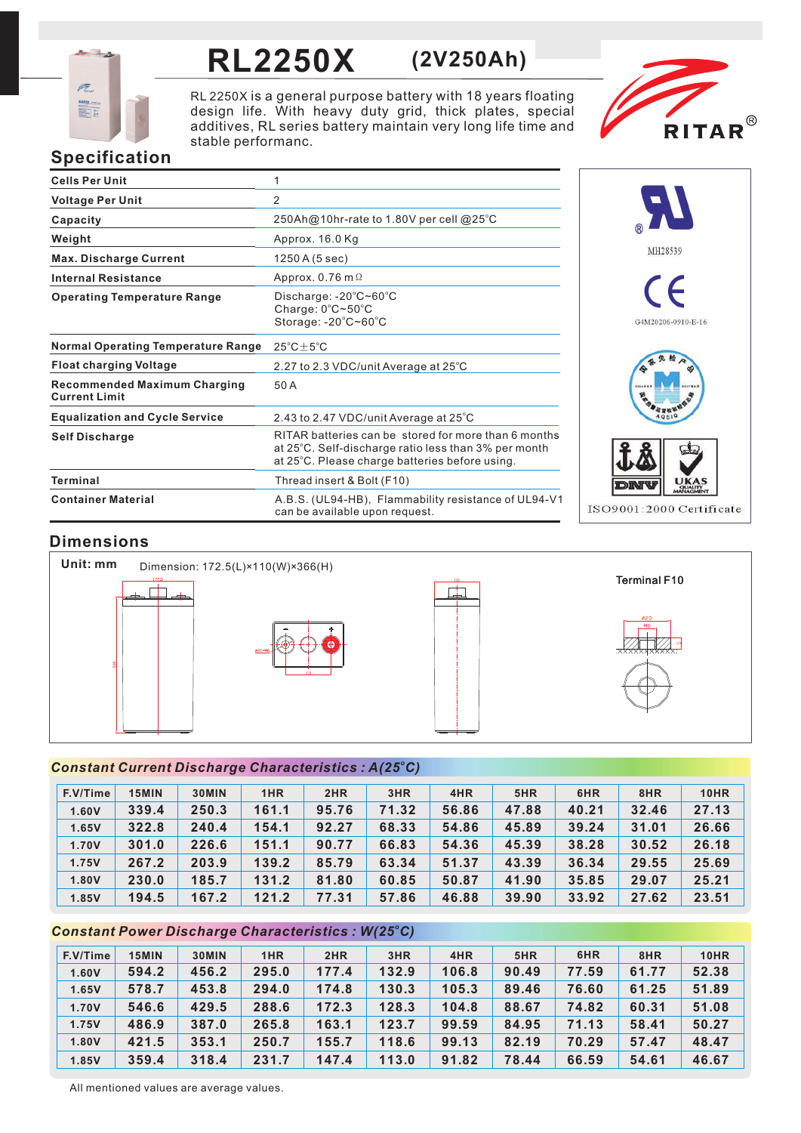

# **RL2250X (2V250Ah)**

RL 2250X is a general purpose battery with 18 years floating design life. With heavy duty grid, thick plates, special additives, RL series battery maintain very long life time and stable performanc.



# **Specification**

| <b>Cells Per Unit</b>                                       | 1                                                                                                                                                              |
|-------------------------------------------------------------|----------------------------------------------------------------------------------------------------------------------------------------------------------------|
| <b>Voltage Per Unit</b>                                     | 2                                                                                                                                                              |
| Capacity                                                    | 250Ah@10hr-rate to 1.80V per cell @25°C                                                                                                                        |
| Weight                                                      | Approx. 16.0 Kg                                                                                                                                                |
| <b>Max. Discharge Current</b>                               | 1250 A (5 sec)                                                                                                                                                 |
| <b>Internal Resistance</b>                                  | Approx. 0.76 m $\Omega$                                                                                                                                        |
| <b>Operating Temperature Range</b>                          | Discharge: $-20^{\circ}$ C~60 $^{\circ}$ C<br>Charge: $0^{\circ}$ C~50 $^{\circ}$ C<br>Storage: $-20^{\circ}$ C $-60^{\circ}$ C                                |
| <b>Normal Operating Temperature Range</b>                   | $25^{\circ}$ C $\pm$ 5 $^{\circ}$ C                                                                                                                            |
| <b>Float charging Voltage</b>                               | 2.27 to 2.3 VDC/unit Average at 25°C                                                                                                                           |
| <b>Recommended Maximum Charging</b><br><b>Current Limit</b> | 50 A                                                                                                                                                           |
| <b>Equalization and Cycle Service</b>                       | 2.43 to 2.47 VDC/unit Average at 25°C                                                                                                                          |
| <b>Self Discharge</b>                                       | RITAR batteries can be stored for more than 6 months<br>at 25°C. Self-discharge ratio less than 3% per month<br>at 25°C. Please charge batteries before using. |
| <b>Terminal</b>                                             | Thread insert & Bolt (F10)                                                                                                                                     |
| <b>Container Material</b>                                   | A.B.S. (UL94-HB), Flammability resistance of UL94-V1<br>can be available upon request.                                                                         |



# **Dimensions**



## *<sup>o</sup> Constant Current Discharge Characteristics : A(25 C)*

| F.V/Time | <b>15MIN</b> | 30MIN | 1HR   | 2HR   | 3HR   | 4HR   | 5HR   | 6HR   | 8HR   | <b>10HR</b> |
|----------|--------------|-------|-------|-------|-------|-------|-------|-------|-------|-------------|
| 1.60V    | 339.4        | 250.3 | 161.1 | 95.76 | 71.32 | 56.86 | 47.88 | 40.21 | 32.46 | 27.13       |
| 1.65V    | 322.8        | 240.4 | 154.1 | 92.27 | 68.33 | 54.86 | 45.89 | 39.24 | 31.01 | 26.66       |
| 1.70V    | 301.0        | 226.6 | 151.1 | 90.77 | 66.83 | 54.36 | 45.39 | 38.28 | 30.52 | 26.18       |
| 1.75V    | 267.2        | 203.9 | 139.2 | 85.79 | 63.34 | 51.37 | 43.39 | 36.34 | 29.55 | 25.69       |
| 1.80V    | 230.0        | 185.7 | 131.2 | 81.80 | 60.85 | 50.87 | 41.90 | 35.85 | 29.07 | 25.21       |
| 1.85V    | 194.5        | 167.2 | 121.2 | 77.31 | 57.86 | 46.88 | 39.90 | 33.92 | 27.62 | 23.51       |

## *<sup>o</sup> Constant Power Discharge Characteristics : W(25 C)*

| F.V/Time | 15MIN | 30MIN | 1HR   | 2HR   | 3HR   | 4HR   | 5HR   | 6HR   | 8HR   | <b>10HR</b> |
|----------|-------|-------|-------|-------|-------|-------|-------|-------|-------|-------------|
| 1.60V    | 594.2 | 456.2 | 295.0 | 177.4 | 132.9 | 106.8 | 90.49 | 77.59 | 61.77 | 52.38       |
| 1.65V    | 578.7 | 453.8 | 294.0 | 174.8 | 130.3 | 105.3 | 89.46 | 76.60 | 61.25 | 51.89       |
| 1.70V    | 546.6 | 429.5 | 288.6 | 172.3 | 128.3 | 104.8 | 88.67 | 74.82 | 60.31 | 51.08       |
| 1.75V    | 486.9 | 387.0 | 265.8 | 163.1 | 123.7 | 99.59 | 84.95 | 71.13 | 58.41 | 50.27       |
| 1.80V    | 421.5 | 353.1 | 250.7 | 155.7 | 118.6 | 99.13 | 82.19 | 70.29 | 57.47 | 48.47       |
| 1.85V    | 359.4 | 318.4 | 231.7 | 147.4 | 113.0 | 91.82 | 78.44 | 66.59 | 54.61 | 46.67       |

All mentioned values are average values.